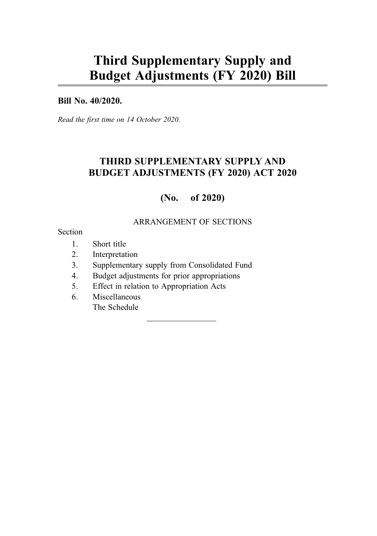# Third Supplementary Supply and Budget Adjustments (FY 2020) Bill

#### Bill No. 40/2020.

Read the first time on 14 October 2020.

### THIRD SUPPLEMENTARY SUPPLY AND BUDGET ADJUSTMENTS (FY 2020) ACT 2020

### (No. of 2020)

#### ARRANGEMENT OF SECTIONS

#### Section

- 1. Short title
- 2. Interpretation
- 3. Supplementary supply from Consolidated Fund
- 4. Budget adjustments for prior appropriations
- 5. Effect in relation to Appropriation Acts
- 6. Miscellaneous The Schedule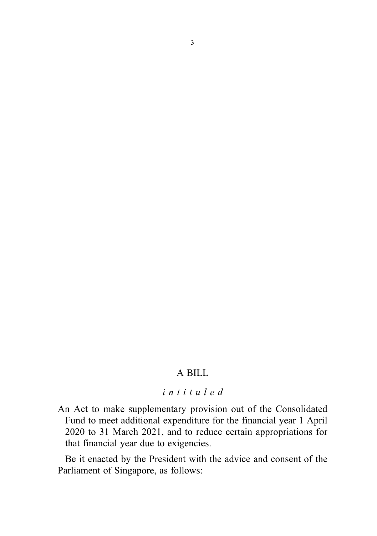### A BILL

#### intituled

An Act to make supplementary provision out of the Consolidated Fund to meet additional expenditure for the financial year 1 April 2020 to 31 March 2021, and to reduce certain appropriations for that financial year due to exigencies.

Be it enacted by the President with the advice and consent of the Parliament of Singapore, as follows: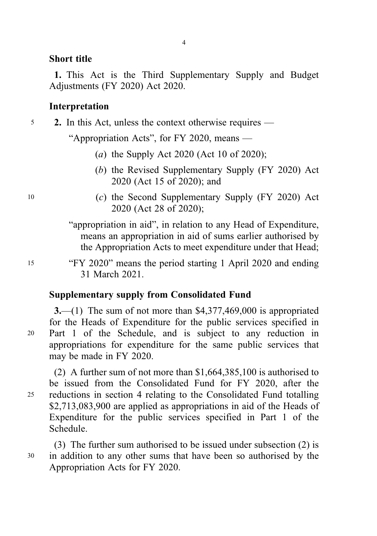#### Short title

1. This Act is the Third Supplementary Supply and Budget Adjustments (FY 2020) Act 2020.

4

### Interpretation

5 2. In this Act, unless the context otherwise requires —

"Appropriation Acts", for FY 2020, means —

- (a) the Supply Act 2020 (Act 10 of 2020);
- (b) the Revised Supplementary Supply (FY 2020) Act 2020 (Act 15 of 2020); and
- <sup>10</sup> (c) the Second Supplementary Supply (FY 2020) Act 2020 (Act 28 of 2020);
	- "appropriation in aid", in relation to any Head of Expenditure, means an appropriation in aid of sums earlier authorised by the Appropriation Acts to meet expenditure under that Head;
- <sup>15</sup> "FY 2020" means the period starting 1 April 2020 and ending 31 March 2021.

### Supplementary supply from Consolidated Fund

3.—(1) The sum of not more than  $$4,377,469,000$  is appropriated for the Heads of Expenditure for the public services specified in <sup>20</sup> Part 1 of the Schedule, and is subject to any reduction in appropriations for expenditure for the same public services that may be made in FY 2020.

(2) A further sum of not more than \$1,664,385,100 is authorised to be issued from the Consolidated Fund for FY 2020, after the <sup>25</sup> reductions in section 4 relating to the Consolidated Fund totalling \$2,713,083,900 are applied as appropriations in aid of the Heads of Expenditure for the public services specified in Part 1 of the Schedule.

(3) The further sum authorised to be issued under subsection (2) is <sup>30</sup> in addition to any other sums that have been so authorised by the Appropriation Acts for FY 2020.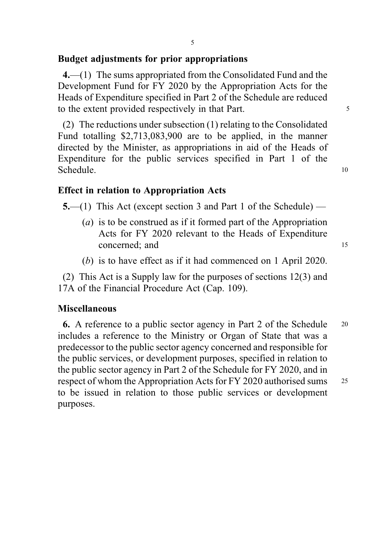### Budget adjustments for prior appropriations

4.—(1) The sums appropriated from the Consolidated Fund and the Development Fund for FY 2020 by the Appropriation Acts for the Heads of Expenditure specified in Part 2 of the Schedule are reduced to the extent provided respectively in that Part.

(2) The reductions under subsection (1) relating to the Consolidated Fund totalling \$2,713,083,900 are to be applied, in the manner directed by the Minister, as appropriations in aid of the Heads of Expenditure for the public services specified in Part 1 of the Schedule. 10

### Effect in relation to Appropriation Acts

5.—(1) This Act (except section 3 and Part 1 of the Schedule) —

- (a) is to be construed as if it formed part of the Appropriation Acts for FY 2020 relevant to the Heads of Expenditure concerned: and 15
- (b) is to have effect as if it had commenced on 1 April 2020.

(2) This Act is a Supply law for the purposes of sections 12(3) and 17A of the Financial Procedure Act (Cap. 109).

#### **Miscellaneous**

6. A reference to a public sector agency in Part 2 of the Schedule <sup>20</sup> includes a reference to the Ministry or Organ of State that was a predecessor to the public sector agency concerned and responsible for the public services, or development purposes, specified in relation to the public sector agency in Part 2 of the Schedule for FY 2020, and in respect of whom the Appropriation Acts for FY 2020 authorised sums <sup>25</sup> to be issued in relation to those public services or development purposes.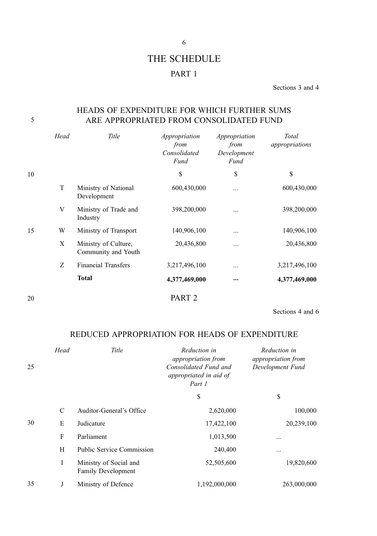## THE SCHEDULE PART 1

Sections 3 and 4

#### HEADS OF EXPENDITURE FOR WHICH FURTHER SUMS 5 ARE APPROPRIATED FROM CONSOLIDATED FUND

|    | Head | Title                                       | Appropriation<br>from<br>Consolidated<br>Fund | Appropriation<br>from<br>Development<br>Fund | <b>Total</b><br>appropriations |
|----|------|---------------------------------------------|-----------------------------------------------|----------------------------------------------|--------------------------------|
| 10 |      |                                             | \$                                            | \$                                           | \$                             |
|    | T    | Ministry of National<br>Development         | 600,430,000                                   |                                              | 600,430,000                    |
|    | V    | Ministry of Trade and<br>Industry           | 398,200,000                                   |                                              | 398,200,000                    |
| 15 | W    | Ministry of Transport                       | 140,906,100                                   |                                              | 140,906,100                    |
|    | X    | Ministry of Culture,<br>Community and Youth | 20,436,800                                    | $\cdots$                                     | 20,436,800                     |
|    | Z    | <b>Financial Transfers</b>                  | 3,217,496,100                                 |                                              | 3,217,496,100                  |
|    |      | <b>Total</b>                                | 4,377,469,000                                 | $\cdots$                                     | 4,377,469,000                  |

20

PART 2

Sections 4 and 6

### REDUCED APPROPRIATION FOR HEADS OF EXPENDITURE

| 25 | Head          | Title                                               | Reduction in<br><i>appropriation from</i><br>Consolidated Fund and<br>appropriated in aid of<br>Part 1 | Reduction in<br>appropriation from<br>Development Fund |
|----|---------------|-----------------------------------------------------|--------------------------------------------------------------------------------------------------------|--------------------------------------------------------|
|    |               |                                                     | \$                                                                                                     | \$                                                     |
|    | $\mathcal{C}$ | Auditor-General's Office                            | 2,620,000                                                                                              | 100,000                                                |
| 30 | E             | Judicature                                          | 17,422,100                                                                                             | 20,239,100                                             |
|    | F             | Parliament                                          | 1,013,500                                                                                              | $\cdots$                                               |
|    | H             | Public Service Commission                           | 240,400                                                                                                | $\cdots$                                               |
|    | Ι             | Ministry of Social and<br><b>Family Development</b> | 52,505,600                                                                                             | 19,820,600                                             |
| 35 | J             | Ministry of Defence                                 | 1,192,000,000                                                                                          | 263,000,000                                            |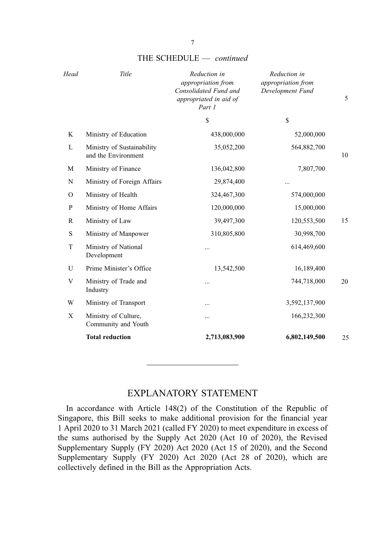| Head         | Title                                             | Reduction in<br>appropriation from<br>Consolidated Fund and<br>appropriated in aid of<br>Part 1 | Reduction in<br>appropriation from<br>Development Fund | 5  |
|--------------|---------------------------------------------------|-------------------------------------------------------------------------------------------------|--------------------------------------------------------|----|
|              |                                                   | \$                                                                                              | \$                                                     |    |
| K            | Ministry of Education                             | 438,000,000                                                                                     | 52,000,000                                             |    |
| $\mathbf{L}$ | Ministry of Sustainability<br>and the Environment | 35,052,200                                                                                      | 564,882,700                                            | 10 |
| M            | Ministry of Finance                               | 136,042,800                                                                                     | 7,807,700                                              |    |
| N            | Ministry of Foreign Affairs                       | 29,874,400                                                                                      | $\cdots$                                               |    |
| $\Omega$     | Ministry of Health                                | 324,467,300                                                                                     | 574,000,000                                            |    |
| P            | Ministry of Home Affairs                          | 120,000,000                                                                                     | 15,000,000                                             |    |
| $\mathbb{R}$ | Ministry of Law                                   | 39,497,300                                                                                      | 120,553,500                                            | 15 |
| S            | Ministry of Manpower                              | 310,805,800                                                                                     | 30,998,700                                             |    |
| T            | Ministry of National<br>Development               | $\cdots$                                                                                        | 614,469,600                                            |    |
| U            | Prime Minister's Office                           | 13,542,500                                                                                      | 16,189,400                                             |    |
| V            | Ministry of Trade and<br>Industry                 | $\ddotsc$                                                                                       | 744,718,000                                            | 20 |
| W            | Ministry of Transport                             | $\cdots$                                                                                        | 3,592,137,900                                          |    |
| X            | Ministry of Culture,<br>Community and Youth       | $\ddotsc$                                                                                       | 166,232,300                                            |    |
|              | <b>Total reduction</b>                            | 2,713,083,900                                                                                   | 6,802,149,500                                          | 25 |
|              |                                                   |                                                                                                 |                                                        |    |

#### THE SCHEDULE - continued

#### EXPLANATORY STATEMENT

In accordance with Article 148(2) of the Constitution of the Republic of Singapore, this Bill seeks to make additional provision for the financial year 1 April 2020 to 31 March 2021 (called FY 2020) to meet expenditure in excess of the sums authorised by the Supply Act 2020 (Act 10 of 2020), the Revised Supplementary Supply (FY 2020) Act 2020 (Act 15 of 2020), and the Second Supplementary Supply (FY 2020) Act 2020 (Act 28 of 2020), which are collectively defined in the Bill as the Appropriation Acts.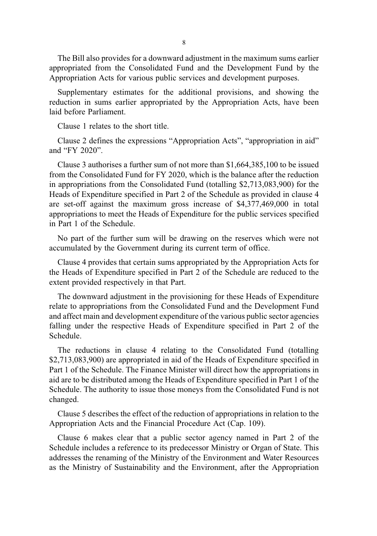The Bill also provides for a downward adjustment in the maximum sums earlier appropriated from the Consolidated Fund and the Development Fund by the Appropriation Acts for various public services and development purposes.

Supplementary estimates for the additional provisions, and showing the reduction in sums earlier appropriated by the Appropriation Acts, have been laid before Parliament.

Clause 1 relates to the short title.

Clause 2 defines the expressions "Appropriation Acts", "appropriation in aid" and "FY 2020".

Clause 3 authorises a further sum of not more than \$1,664,385,100 to be issued from the Consolidated Fund for FY 2020, which is the balance after the reduction in appropriations from the Consolidated Fund (totalling \$2,713,083,900) for the Heads of Expenditure specified in Part 2 of the Schedule as provided in clause 4 are set-off against the maximum gross increase of \$4,377,469,000 in total appropriations to meet the Heads of Expenditure for the public services specified in Part 1 of the Schedule.

No part of the further sum will be drawing on the reserves which were not accumulated by the Government during its current term of office.

Clause 4 provides that certain sums appropriated by the Appropriation Acts for the Heads of Expenditure specified in Part 2 of the Schedule are reduced to the extent provided respectively in that Part.

The downward adjustment in the provisioning for these Heads of Expenditure relate to appropriations from the Consolidated Fund and the Development Fund and affect main and development expenditure of the various public sector agencies falling under the respective Heads of Expenditure specified in Part 2 of the Schedule.

The reductions in clause 4 relating to the Consolidated Fund (totalling \$2,713,083,900) are appropriated in aid of the Heads of Expenditure specified in Part 1 of the Schedule. The Finance Minister will direct how the appropriations in aid are to be distributed among the Heads of Expenditure specified in Part 1 of the Schedule. The authority to issue those moneys from the Consolidated Fund is not changed.

Clause 5 describes the effect of the reduction of appropriations in relation to the Appropriation Acts and the Financial Procedure Act (Cap. 109).

Clause 6 makes clear that a public sector agency named in Part 2 of the Schedule includes a reference to its predecessor Ministry or Organ of State. This addresses the renaming of the Ministry of the Environment and Water Resources as the Ministry of Sustainability and the Environment, after the Appropriation